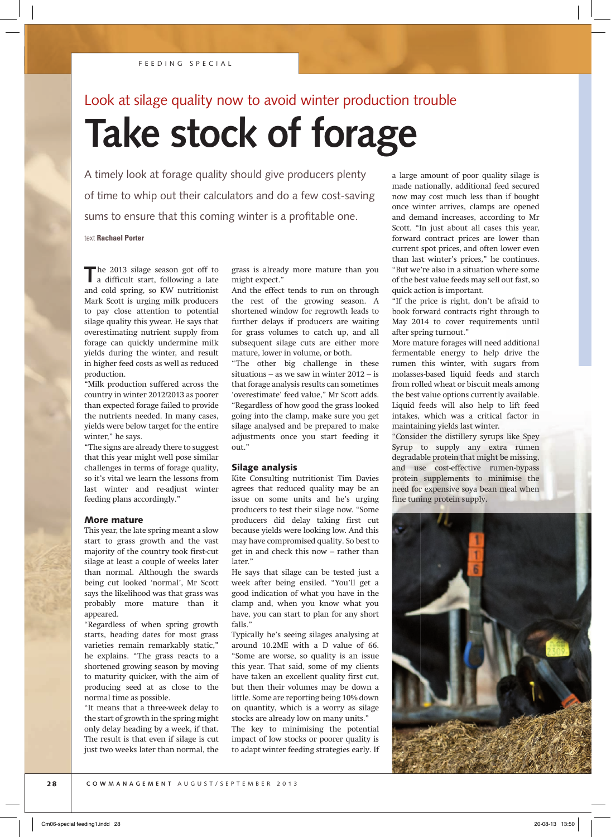## Look at silage quality now to avoid winter production trouble

# **Take stock of forage**

A timely look at forage quality should give producers plenty of time to whip out their calculators and do a few cost-saving sums to ensure that this coming winter is a profitable one.

text **Rachael Porter**

The 2013 silage season got off to a difficult start, following a late and cold spring, so KW nutritionist Mark Scott is urging milk producers to pay close attention to potential silage quality this ywear. He says that overestimating nutrient supply from forage can quickly undermine milk yields during the winter, and result in higher feed costs as well as reduced production.

"Milk production suffered across the country in winter 2012/2013 as poorer than expected forage failed to provide the nutrients needed. In many cases, yields were below target for the entire winter," he says.

"The signs are already there to suggest that this year might well pose similar challenges in terms of forage quality, so it's vital we learn the lessons from last winter and re-adjust winter feeding plans accordingly."

#### More mature

This year, the late spring meant a slow start to grass growth and the vast majority of the country took first-cut silage at least a couple of weeks later than normal. Although the swards being cut looked 'normal', Mr Scott says the likelihood was that grass was probably more mature than it appeared.

"Regardless of when spring growth starts, heading dates for most grass varieties remain remarkably static," he explains. "The grass reacts to a shortened growing season by moving to maturity quicker, with the aim of producing seed at as close to the normal time as possible.

"It means that a three-week delay to the start of growth in the spring might only delay heading by a week, if that. The result is that even if silage is cut just two weeks later than normal, the grass is already more mature than you might expect."

And the effect tends to run on through the rest of the growing season. A shortened window for regrowth leads to further delays if producers are waiting for grass volumes to catch up, and all subsequent silage cuts are either more mature, lower in volume, or both.

"The other big challenge in these situations – as we saw in winter 2012 – is that forage analysis results can sometimes 'overestimate' feed value," Mr Scott adds. "Regardless of how good the grass looked going into the clamp, make sure you get silage analysed and be prepared to make adjustments once you start feeding it out."

#### Silage analysis

Kite Consulting nutritionist Tim Davies agrees that reduced quality may be an issue on some units and he's urging producers to test their silage now. "Some producers did delay taking first cut because yields were looking low. And this may have compromised quality. So best to get in and check this now – rather than later."

He says that silage can be tested just a week after being ensiled. "You'll get a good indication of what you have in the clamp and, when you know what you have, you can start to plan for any short falls."

Typically he's seeing silages analysing at around 10.2ME with a D value of 66. "Some are worse, so quality is an issue this year. That said, some of my clients have taken an excellent quality first cut, but then their volumes may be down a little. Some are reporting being 10% down on quantity, which is a worry as silage stocks are already low on many units."

The key to minimising the potential impact of low stocks or poorer quality is to adapt winter feeding strategies early. If a large amount of poor quality silage is made nationally, additional feed secured now may cost much less than if bought once winter arrives, clamps are opened and demand increases, according to Mr Scott. "In just about all cases this year, forward contract prices are lower than current spot prices, and often lower even than last winter's prices," he continues. "But we're also in a situation where some of the best value feeds may sell out fast, so quick action is important.

"If the price is right, don't be afraid to book forward contracts right through to May 2014 to cover requirements until after spring turnout."

More mature forages will need additional fermentable energy to help drive the rumen this winter, with sugars from molasses-based liquid feeds and starch from rolled wheat or biscuit meals among the best value options currently available. Liquid feeds will also help to lift feed intakes, which was a critical factor in maintaining yields last winter.

"Consider the distillery syrups like Spey Syrup to supply any extra rumen degradable protein that might be missing, and use cost-effective rumen-bypass protein supplements to minimise the need for expensive soya bean meal when fine tuning protein supply.